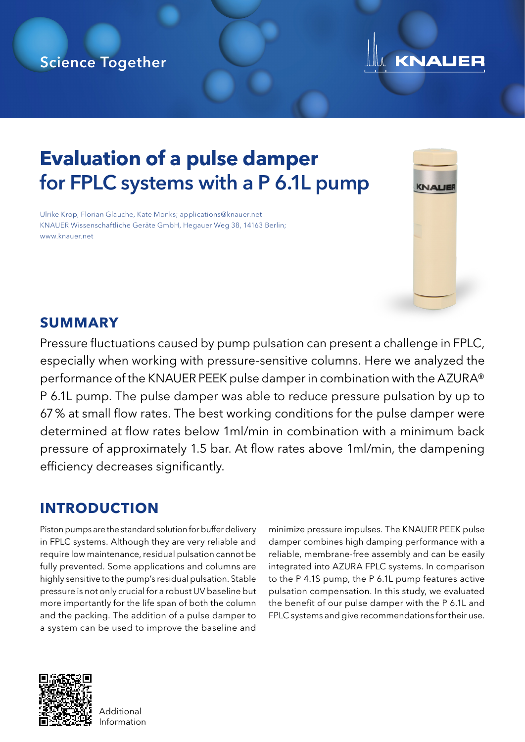### Science Together

# **KNAUER**

## **Evaluation of a pulse damper** for FPLC systems with a P 6.1L pump

Ulrike Krop, Florian Glauche, Kate Monks; applications@knauer.net KNAUER Wissenschaftliche Geräte GmbH, Hegauer Weg 38, 14163 Berlin; www.knauer.net



#### **SUMMARY**

Pressure fluctuations caused by pump pulsation can present a challenge in FPLC, especially when working with pressure-sensitive columns. Here we analyzed the performance of the KNAUER PEEK pulse damper in combination with the AZURA® P 6.1L pump. The pulse damper was able to reduce pressure pulsation by up to 67% at small flow rates. The best working conditions for the pulse damper were determined at flow rates below 1ml/min in combination with a minimum back pressure of approximately 1.5 bar. At flow rates above 1ml/min, the dampening efficiency decreases significantly.

### **INTRODUCTION**

Piston pumps are the standard solution for buffer delivery in FPLC systems. Although they are very reliable and require low maintenance, residual pulsation cannot be fully prevented. Some applications and columns are highly sensitive to the pump's residual pulsation. Stable pressure is not only crucial for a robust UV baseline but more importantly for the life span of both the column and the packing. The addition of a pulse damper to a system can be used to improve the baseline and

minimize pressure impulses. The KNAUER PEEK pulse damper combines high damping performance with a reliable, membrane-free assembly and can be easily integrated into AZURA FPLC systems. In comparison to the P 4.1S pump, the P 6.1L pump features active pulsation compensation. In this study, we evaluated the benefit of our pulse damper with the P 6.1L and FPLC systems and give recommendations for their use.



**Additional** Information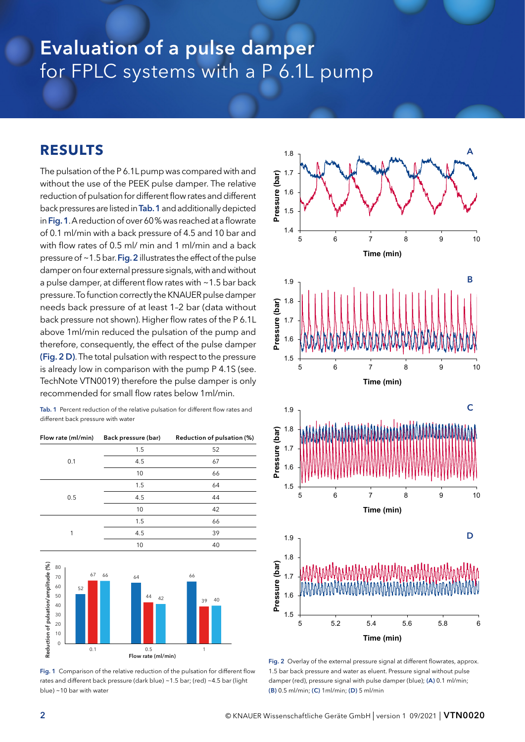## Evaluation of a pulse damper for FPLC systems with a P 6.1L pump

#### **RESULTS**

The pulsation of the P 6.1L pump was compared with and without the use of the PEEK pulse damper. The relative reduction of pulsation for different flow rates and different back pressures are listed in Tab. 1 and additionally depicted in Fig. 1. A reduction of over 60% was reached at a flowrate of 0.1 ml/min with a back pressure of 4.5 and 10 bar and with flow rates of 0.5 ml/ min and 1 ml/min and a back pressure of ~1.5 bar. Fig. 2 illustrates the effect of the pulse damper on four external pressure signals, with and without a pulse damper, at different flow rates with ~1.5 bar back pressure. To function correctly the KNAUER pulse damper needs back pressure of at least 1–2 bar (data without back pressure not shown). Higher flow rates of the P 6.1L above 1ml/min reduced the pulsation of the pump and therefore, consequently, the effect of the pulse damper (Fig. 2 D). The total pulsation with respect to the pressure is already low in comparison with the pump P 4.1S (see. TechNote VTN0019) therefore the pulse damper is only recommended for small flow rates below 1ml/min.

Tab. 1 Percent reduction of the relative pulsation for different flow rates and different back pressure with water



Fig. 1 Comparison of the relative reduction of the pulsation for different flow rates and different back pressure (dark blue) ~1.5 bar; (red) ~4.5 bar (light blue) ~10 bar with water



Fig. 2 Overlay of the external pressure signal at different flowrates, approx. 1.5 bar back pressure and water as eluent. Pressure signal without pulse damper (red), pressure signal with pulse damper (blue); (A) 0.1 ml/min; (B) 0.5 ml/min; (C) 1ml/min; (D) 5 ml/min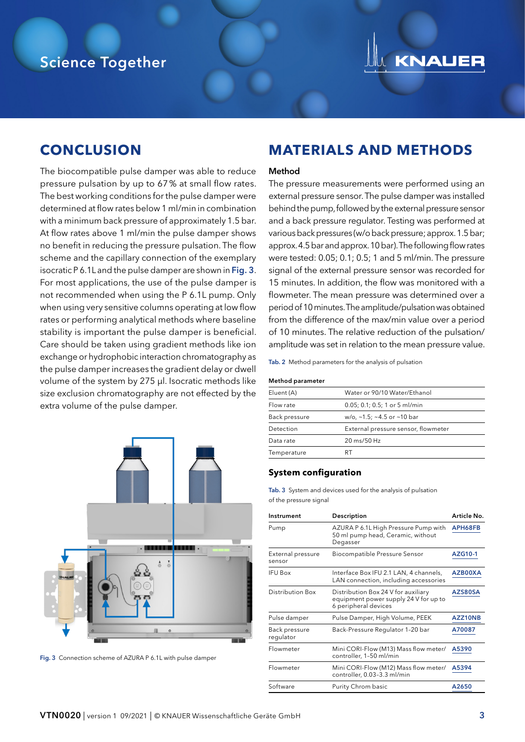### Science Together



#### **CONCLUSION**

The biocompatible pulse damper was able to reduce pressure pulsation by up to 67% at small flow rates. The best working conditions for the pulse damper were determined at flow rates below 1 ml/min in combination with a minimum back pressure of approximately 1.5 bar. At flow rates above 1 ml/min the pulse damper shows no benefit in reducing the pressure pulsation. The flow scheme and the capillary connection of the exemplary isocratic P 6.1L and the pulse damper are shown in Fig. 3. For most applications, the use of the pulse damper is not recommended when using the P 6.1L pump. Only when using very sensitive columns operating at low flow rates or performing analytical methods where baseline stability is important the pulse damper is beneficial. Care should be taken using gradient methods like ion exchange or hydrophobic interaction chromatography as the pulse damper increases the gradient delay or dwell volume of the system by 275 µl. Isocratic methods like size exclusion chromatography are not effected by the extra volume of the pulse damper.



Fig. 3 Connection scheme of AZURA P 6.1L with pulse damper

#### **MATERIALS AND METHODS**

#### Method

The pressure measurements were performed using an external pressure sensor. The pulse damper was installed behind the pump, followed by the external pressure sensor and a back pressure regulator. Testing was performed at various back pressures (w/o back pressure; approx. 1.5 bar; approx. 4.5 bar and approx. 10 bar). The following flow rates were tested: 0.05; 0.1; 0.5; 1 and 5 ml/min. The pressure signal of the external pressure sensor was recorded for 15 minutes. In addition, the flow was monitored with a flowmeter. The mean pressure was determined over a period of 10 minutes. The amplitude/pulsation was obtained from the difference of the max/min value over a period of 10 minutes. The relative reduction of the pulsation/ amplitude was set in relation to the mean pressure value.

Tab. 2 Method parameters for the analysis of pulsation

#### Method parameter

| Eluent (A)    | Water or 90/10 Water/Ethanol                 |
|---------------|----------------------------------------------|
| Flow rate     | $0.05; 0.1; 0.5; 1$ or 5 ml/min              |
| Back pressure | w/o, $\sim$ 1.5; $\sim$ 4.5 or $\sim$ 10 bar |
| Detection     | External pressure sensor, flowmeter          |
| Data rate     | 20 ms/50 Hz                                  |
| Temperature   | RТ                                           |

#### **System configuration**

Tab. 3 System and devices used for the analysis of pulsation of the pressure signal

| Instrument                  | Description                                                                                          | Article No. |
|-----------------------------|------------------------------------------------------------------------------------------------------|-------------|
| Pump                        | AZURA P 6.1L High Pressure Pump with<br>50 ml pump head, Ceramic, without<br>Degasser                | APH68FB     |
| External pressure<br>sensor | Biocompatible Pressure Sensor                                                                        | AZG10-1     |
| <b>IFU Box</b>              | Interface Box IFU 2.1 LAN, 4 channels,<br>LAN connection, including accessories                      | AZB00XA     |
| <b>Distribution Box</b>     | Distribution Box 24 V for auxiliary<br>equipment power supply 24 V for up to<br>6 peripheral devices | AZS80SA     |
| Pulse damper                | Pulse Damper, High Volume, PEEK                                                                      | AZZ10NB     |
| Back pressure<br>regulator  | Back-Pressure Regulator 1-20 bar                                                                     | A70087      |
| Flowmeter                   | Mini CORI-Flow (M13) Mass flow meter/<br>controller, 1-50 ml/min                                     | A5390       |
| Flowmeter                   | Mini CORI-Flow (M12) Mass flow meter/<br>controller, 0.03-3.3 ml/min                                 | A5394       |
| Software                    | Purity Chrom basic                                                                                   | A2650       |